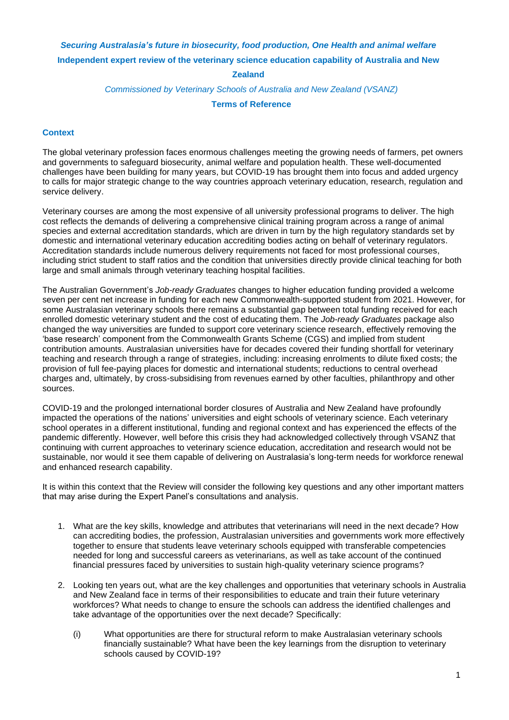## *Securing Australasia's future in biosecurity, food production, One Health and animal welfare* **Independent expert review of the veterinary science education capability of Australia and New**

## **Zealand**

## *Commissioned by Veterinary Schools of Australia and New Zealand (VSANZ)*

**Terms of Reference**

## **Context**

The global veterinary profession faces enormous challenges meeting the growing needs of farmers, pet owners and governments to safeguard biosecurity, animal welfare and population health. These well-documented challenges have been building for many years, but COVID-19 has brought them into focus and added urgency to calls for major strategic change to the way countries approach veterinary education, research, regulation and service delivery.

Veterinary courses are among the most expensive of all university professional programs to deliver. The high cost reflects the demands of delivering a comprehensive clinical training program across a range of animal species and external accreditation standards, which are driven in turn by the high regulatory standards set by domestic and international veterinary education accrediting bodies acting on behalf of veterinary regulators. Accreditation standards include numerous delivery requirements not faced for most professional courses, including strict student to staff ratios and the condition that universities directly provide clinical teaching for both large and small animals through veterinary teaching hospital facilities.

The Australian Government's *Job-ready Graduates* changes to higher education funding provided a welcome seven per cent net increase in funding for each new Commonwealth-supported student from 2021. However, for some Australasian veterinary schools there remains a substantial gap between total funding received for each enrolled domestic veterinary student and the cost of educating them. The *Job-ready Graduates* package also changed the way universities are funded to support core veterinary science research, effectively removing the 'base research' component from the Commonwealth Grants Scheme (CGS) and implied from student contribution amounts. Australasian universities have for decades covered their funding shortfall for veterinary teaching and research through a range of strategies, including: increasing enrolments to dilute fixed costs; the provision of full fee-paying places for domestic and international students; reductions to central overhead charges and, ultimately, by cross-subsidising from revenues earned by other faculties, philanthropy and other sources.

COVID-19 and the prolonged international border closures of Australia and New Zealand have profoundly impacted the operations of the nations' universities and eight schools of veterinary science. Each veterinary school operates in a different institutional, funding and regional context and has experienced the effects of the pandemic differently. However, well before this crisis they had acknowledged collectively through VSANZ that continuing with current approaches to veterinary science education, accreditation and research would not be sustainable, nor would it see them capable of delivering on Australasia's long-term needs for workforce renewal and enhanced research capability.

It is within this context that the Review will consider the following key questions and any other important matters that may arise during the Expert Panel's consultations and analysis.

- 1. What are the key skills, knowledge and attributes that veterinarians will need in the next decade? How can accrediting bodies, the profession, Australasian universities and governments work more effectively together to ensure that students leave veterinary schools equipped with transferable competencies needed for long and successful careers as veterinarians, as well as take account of the continued financial pressures faced by universities to sustain high-quality veterinary science programs?
- 2. Looking ten years out, what are the key challenges and opportunities that veterinary schools in Australia and New Zealand face in terms of their responsibilities to educate and train their future veterinary workforces? What needs to change to ensure the schools can address the identified challenges and take advantage of the opportunities over the next decade? Specifically:
	- (i) What opportunities are there for structural reform to make Australasian veterinary schools financially sustainable? What have been the key learnings from the disruption to veterinary schools caused by COVID-19?